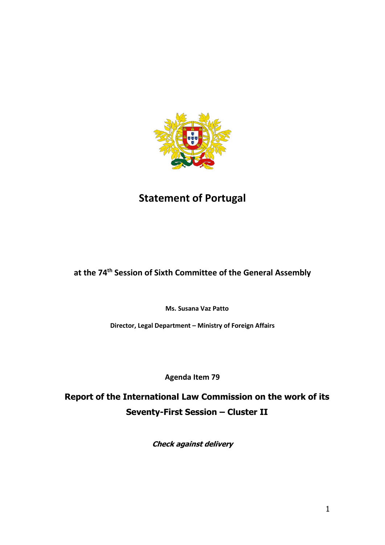

# **Statement of Portugal**

## **at the 74th Session of Sixth Committee of the General Assembly**

**Ms. Susana Vaz Patto**

**Director, Legal Department – Ministry of Foreign Affairs**

**Agenda Item 79**

**Report of the International Law Commission on the work of its Seventy-First Session – Cluster II**

**Check against delivery**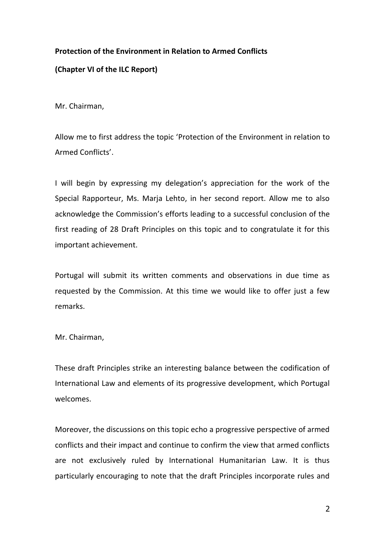#### **Protection of the Environment in Relation to Armed Conflicts**

### **(Chapter VI of the ILC Report)**

Mr. Chairman,

Allow me to first address the topic 'Protection of the Environment in relation to Armed Conflicts'.

I will begin by expressing my delegation's appreciation for the work of the Special Rapporteur, Ms. Marja Lehto, in her second report. Allow me to also acknowledge the Commission's efforts leading to a successful conclusion of the first reading of 28 Draft Principles on this topic and to congratulate it for this important achievement.

Portugal will submit its written comments and observations in due time as requested by the Commission. At this time we would like to offer just a few remarks.

Mr. Chairman,

These draft Principles strike an interesting balance between the codification of International Law and elements of its progressive development, which Portugal welcomes.

Moreover, the discussions on this topic echo a progressive perspective of armed conflicts and their impact and continue to confirm the view that armed conflicts are not exclusively ruled by International Humanitarian Law. It is thus particularly encouraging to note that the draft Principles incorporate rules and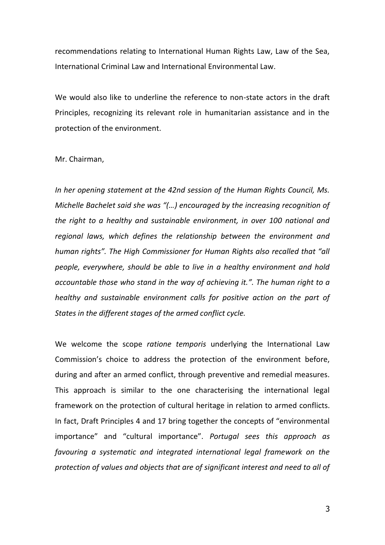recommendations relating to International Human Rights Law, Law of the Sea, International Criminal Law and International Environmental Law.

We would also like to underline the reference to non-state actors in the draft Principles, recognizing its relevant role in humanitarian assistance and in the protection of the environment.

#### Mr. Chairman,

*In her opening statement at the 42nd session of the Human Rights Council, Ms. Michelle Bachelet said she was "(…) encouraged by the increasing recognition of the right to a healthy and sustainable environment, in over 100 national and regional laws, which defines the relationship between the environment and human rights". The High Commissioner for Human Rights also recalled that "all people, everywhere, should be able to live in a healthy environment and hold accountable those who stand in the way of achieving it.". The human right to a healthy and sustainable environment calls for positive action on the part of States in the different stages of the armed conflict cycle.*

We welcome the scope *ratione temporis* underlying the International Law Commission's choice to address the protection of the environment before, during and after an armed conflict, through preventive and remedial measures. This approach is similar to the one characterising the international legal framework on the protection of cultural heritage in relation to armed conflicts. In fact, Draft Principles 4 and 17 bring together the concepts of "environmental importance" and "cultural importance". *Portugal sees this approach as favouring a systematic and integrated international legal framework on the protection of values and objects that are of significant interest and need to all of*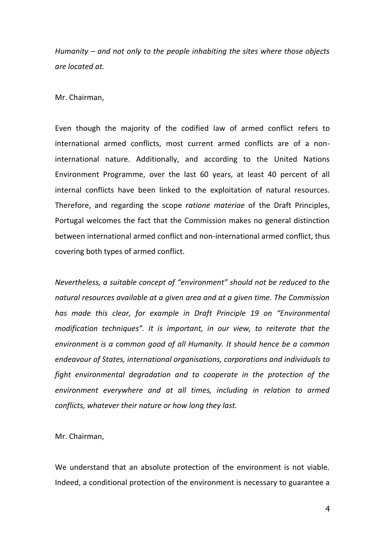*Humanity – and not only to the people inhabiting the sites where those objects are located at.*

Mr. Chairman,

Even though the majority of the codified law of armed conflict refers to international armed conflicts, most current armed conflicts are of a noninternational nature. Additionally, and according to the United Nations Environment Programme, over the last 60 years, at least 40 percent of all internal conflicts have been linked to the exploitation of natural resources. Therefore, and regarding the scope *ratione materiae* of the Draft Principles, Portugal welcomes the fact that the Commission makes no general distinction between international armed conflict and non-international armed conflict, thus covering both types of armed conflict.

*Nevertheless, a suitable concept of "environment" should not be reduced to the natural resources available at a given area and at a given time. The Commission has made this clear, for example in Draft Principle 19 on "Environmental modification techniques". It is important, in our view, to reiterate that the environment is a common good of all Humanity. It should hence be a common endeavour of States, international organisations, corporations and individuals to fight environmental degradation and to cooperate in the protection of the environment everywhere and at all times, including in relation to armed conflicts, whatever their nature or how long they last.* 

Mr. Chairman,

We understand that an absolute protection of the environment is not viable. Indeed, a conditional protection of the environment is necessary to guarantee a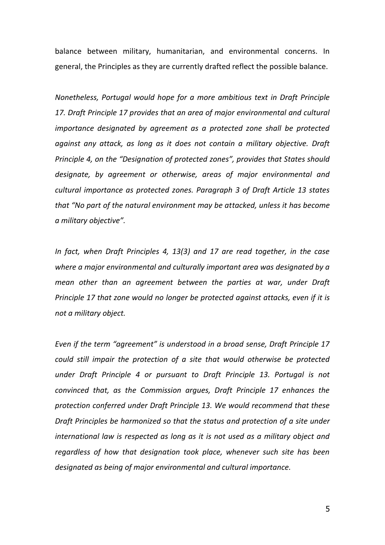balance between military, humanitarian, and environmental concerns. In general, the Principles as they are currently drafted reflect the possible balance.

*Nonetheless, Portugal would hope for a more ambitious text in Draft Principle 17. Draft Principle 17 provides that an area of major environmental and cultural importance designated by agreement as a protected zone shall be protected against any attack, as long as it does not contain a military objective. Draft Principle 4, on the "Designation of protected zones", provides that States should designate, by agreement or otherwise, areas of major environmental and cultural importance as protected zones. Paragraph 3 of Draft Article 13 states that "No part of the natural environment may be attacked, unless it has become a military objective".*

*In fact, when Draft Principles 4, 13(3) and 17 are read together, in the case where a major environmental and culturally important area was designated by a mean other than an agreement between the parties at war, under Draft Principle 17 that zone would no longer be protected against attacks, even if it is not a military object.* 

*Even if the term "agreement" is understood in a broad sense, Draft Principle 17 could still impair the protection of a site that would otherwise be protected under Draft Principle 4 or pursuant to Draft Principle 13. Portugal is not convinced that, as the Commission argues, Draft Principle 17 enhances the protection conferred under Draft Principle 13. We would recommend that these Draft Principles be harmonized so that the status and protection of a site under international law is respected as long as it is not used as a military object and regardless of how that designation took place, whenever such site has been designated as being of major environmental and cultural importance.*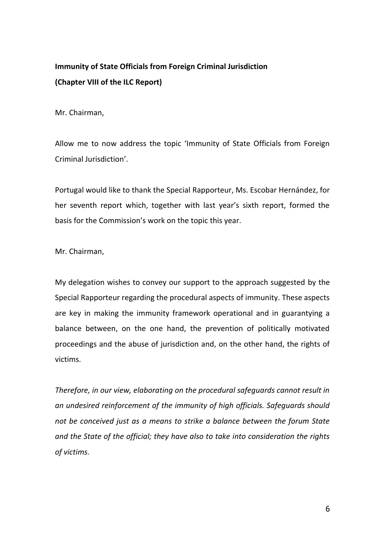### **Immunity of State Officials from Foreign Criminal Jurisdiction (Chapter VIII of the ILC Report)**

Mr. Chairman,

Allow me to now address the topic 'Immunity of State Officials from Foreign Criminal Jurisdiction'.

Portugal would like to thank the Special Rapporteur, Ms. Escobar Hernández, for her seventh report which, together with last year's sixth report, formed the basis for the Commission's work on the topic this year.

Mr. Chairman,

My delegation wishes to convey our support to the approach suggested by the Special Rapporteur regarding the procedural aspects of immunity. These aspects are key in making the immunity framework operational and in guarantying a balance between, on the one hand, the prevention of politically motivated proceedings and the abuse of jurisdiction and, on the other hand, the rights of victims.

*Therefore, in our view, elaborating on the procedural safeguards cannot result in an undesired reinforcement of the immunity of high officials. Safeguards should not be conceived just as a means to strike a balance between the forum State and the State of the official; they have also to take into consideration the rights of victims.*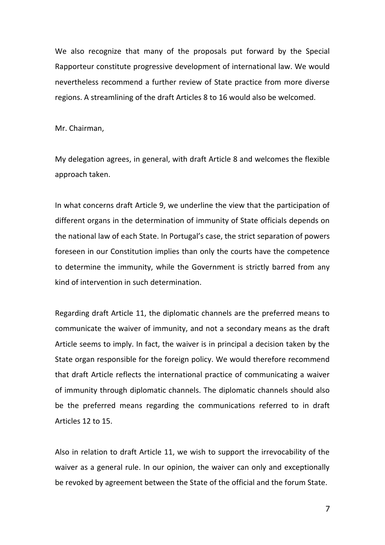We also recognize that many of the proposals put forward by the Special Rapporteur constitute progressive development of international law. We would nevertheless recommend a further review of State practice from more diverse regions. A streamlining of the draft Articles 8 to 16 would also be welcomed.

Mr. Chairman,

My delegation agrees, in general, with draft Article 8 and welcomes the flexible approach taken.

In what concerns draft Article 9, we underline the view that the participation of different organs in the determination of immunity of State officials depends on the national law of each State. In Portugal's case, the strict separation of powers foreseen in our Constitution implies than only the courts have the competence to determine the immunity, while the Government is strictly barred from any kind of intervention in such determination.

Regarding draft Article 11, the diplomatic channels are the preferred means to communicate the waiver of immunity, and not a secondary means as the draft Article seems to imply. In fact, the waiver is in principal a decision taken by the State organ responsible for the foreign policy. We would therefore recommend that draft Article reflects the international practice of communicating a waiver of immunity through diplomatic channels. The diplomatic channels should also be the preferred means regarding the communications referred to in draft Articles 12 to 15.

Also in relation to draft Article 11, we wish to support the irrevocability of the waiver as a general rule. In our opinion, the waiver can only and exceptionally be revoked by agreement between the State of the official and the forum State.

7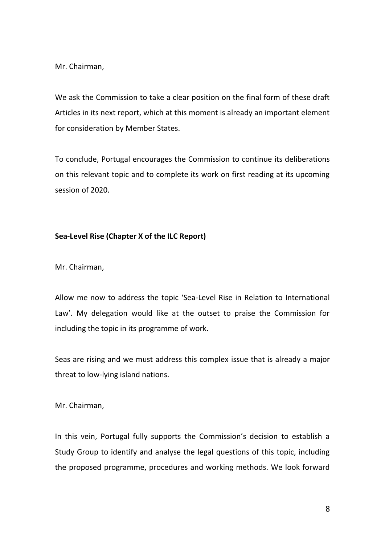Mr. Chairman,

We ask the Commission to take a clear position on the final form of these draft Articles in its next report, which at this moment is already an important element for consideration by Member States.

To conclude, Portugal encourages the Commission to continue its deliberations on this relevant topic and to complete its work on first reading at its upcoming session of 2020.

#### **Sea-Level Rise (Chapter X of the ILC Report)**

Mr. Chairman,

Allow me now to address the topic 'Sea-Level Rise in Relation to International Law'. My delegation would like at the outset to praise the Commission for including the topic in its programme of work.

Seas are rising and we must address this complex issue that is already a major threat to low-lying island nations.

Mr. Chairman,

In this vein, Portugal fully supports the Commission's decision to establish a Study Group to identify and analyse the legal questions of this topic, including the proposed programme, procedures and working methods. We look forward